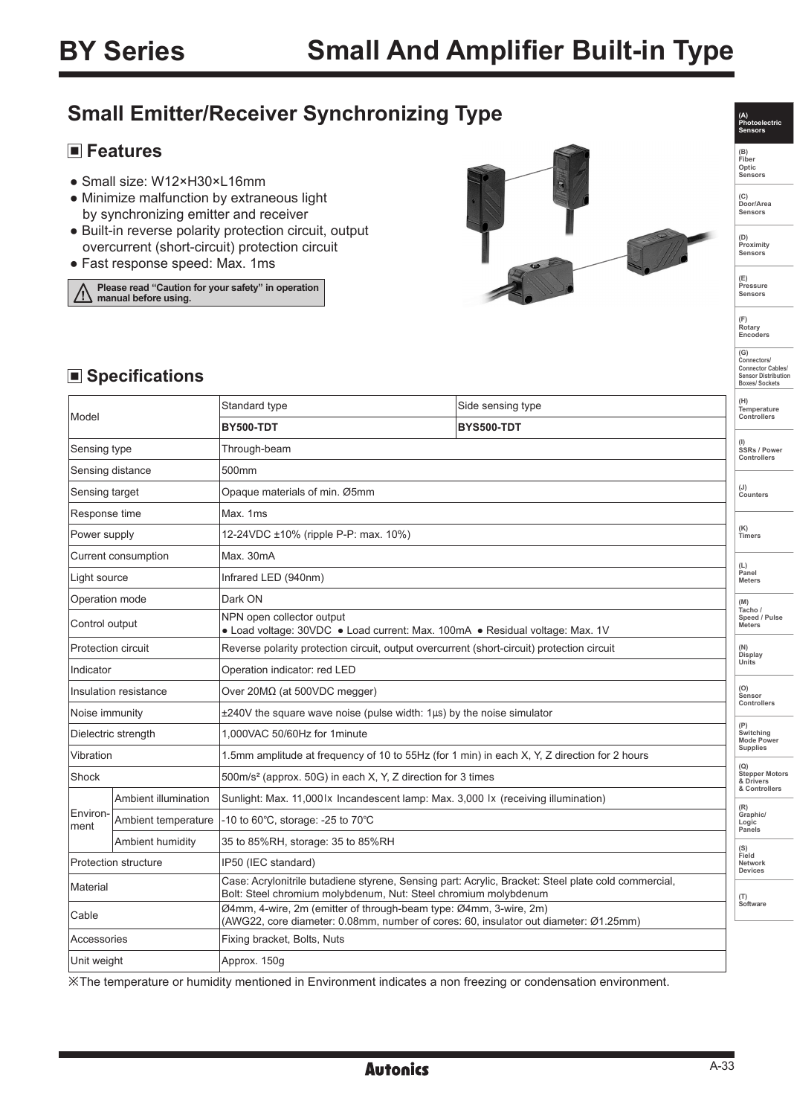### **Small Emitter/Receiver Synchronizing Type**

### **Features**

- Small size: W12×H30×L16mm
- Minimize malfunction by extraneous light by synchronizing emitter and receiver
- Built-in reverse polarity protection circuit, output overcurrent (short-circuit) protection circuit
- Fast response speed: Max. 1ms

**Please read "Caution for your safety" in operation manual before using.**



**Photoelectric Sensors (B) Fiber Optic Sensors**

**(A)** 

**(C) Door/Area Sensors**

**(D) Proximity Sensors** 

**(E) Pressure Sensors** 

**(F) Rotary Encoders** 

# **(G) Connectors/ Connector Cables/ Sensor Distribution Boxes/ Sockets**

■ Specifications

| Model                     |                      | Standard type                                                                                                                                                          | Side sensing type | (H)<br>Temperature                                                                             |  |
|---------------------------|----------------------|------------------------------------------------------------------------------------------------------------------------------------------------------------------------|-------------------|------------------------------------------------------------------------------------------------|--|
|                           |                      | <b>BY500-TDT</b>                                                                                                                                                       | <b>BYS500-TDT</b> | Controllers                                                                                    |  |
| Sensing type              |                      | Through-beam                                                                                                                                                           |                   | SSRs / Power<br>Controllers                                                                    |  |
| Sensing distance          |                      | 500mm                                                                                                                                                                  |                   |                                                                                                |  |
| Sensing target            |                      | Opaque materials of min. Ø5mm                                                                                                                                          |                   | (J)<br>Counters                                                                                |  |
| Response time             |                      | Max. 1ms                                                                                                                                                               |                   |                                                                                                |  |
| Power supply              |                      | 12-24VDC ±10% (ripple P-P: max. 10%)                                                                                                                                   |                   | (K)<br>Timers                                                                                  |  |
| Current consumption       |                      | Max. 30mA                                                                                                                                                              |                   |                                                                                                |  |
| Light source              |                      | Infrared LED (940nm)                                                                                                                                                   |                   | (L)<br>Panel<br><b>Meters</b>                                                                  |  |
| Operation mode            |                      | Dark ON                                                                                                                                                                |                   | (M)                                                                                            |  |
| Control output            |                      | NPN open collector output<br>• Load voltage: 30VDC • Load current: Max. 100mA • Residual voltage: Max. 1V                                                              |                   | Tacho<br>Speed / Pulse<br><b>Meters</b>                                                        |  |
| <b>Protection circuit</b> |                      | Reverse polarity protection circuit, output overcurrent (short-circuit) protection circuit                                                                             |                   | (N)<br>Display                                                                                 |  |
| Indicator                 |                      | Operation indicator: red LED                                                                                                                                           |                   | Units                                                                                          |  |
| Insulation resistance     |                      | Over $20M\Omega$ (at 500VDC megger)                                                                                                                                    |                   | (O)<br>Sensor                                                                                  |  |
| Noise immunity            |                      | ±240V the square wave noise (pulse width: 1µs) by the noise simulator                                                                                                  |                   | Controllers                                                                                    |  |
| Dielectric strength       |                      | 1,000VAC 50/60Hz for 1minute                                                                                                                                           |                   | (P)<br>Switching<br><b>Mode Power</b><br><b>Supplies</b><br><b>Stepper Motors</b><br>& Drivers |  |
| Vibration                 |                      | 1.5mm amplitude at frequency of 10 to 55Hz (for 1 min) in each X, Y, Z direction for 2 hours                                                                           |                   |                                                                                                |  |
| Shock                     |                      | 500m/s <sup>2</sup> (approx. 50G) in each X, Y, Z direction for 3 times                                                                                                |                   |                                                                                                |  |
|                           | Ambient illumination | Sunlight: Max. 11,000 x Incandescent lamp: Max. 3,000  x (receiving illumination)                                                                                      |                   | & Controllers<br>(R)                                                                           |  |
| Environ-<br>ment          | Ambient temperature  | -10 to 60 $\degree$ C, storage: -25 to 70 $\degree$ C                                                                                                                  |                   | Graphic/<br>Logic<br>Panels                                                                    |  |
|                           | Ambient humidity     | 35 to 85%RH, storage: 35 to 85%RH                                                                                                                                      |                   | (S)                                                                                            |  |
|                           | Protection structure | IP50 (IEC standard)                                                                                                                                                    |                   | Field<br>Network<br><b>Devices</b>                                                             |  |
| Material                  |                      | Case: Acrylonitrile butadiene styrene, Sensing part: Acrylic, Bracket: Steel plate cold commercial,<br>Bolt: Steel chromium molybdenum, Nut: Steel chromium molybdenum |                   | (T)<br>Software                                                                                |  |
| Cable                     |                      | Ø4mm, 4-wire, 2m (emitter of through-beam type: Ø4mm, 3-wire, 2m)<br>(AWG22, core diameter: 0.08mm, number of cores: 60, insulator out diameter: Ø1.25mm)              |                   |                                                                                                |  |
| Accessories               |                      | Fixing bracket, Bolts, Nuts                                                                                                                                            |                   |                                                                                                |  |
| Unit weight               |                      | Approx. 150g                                                                                                                                                           |                   |                                                                                                |  |

※The temperature or humidity mentioned in Environment indicates a non freezing or condensation environment.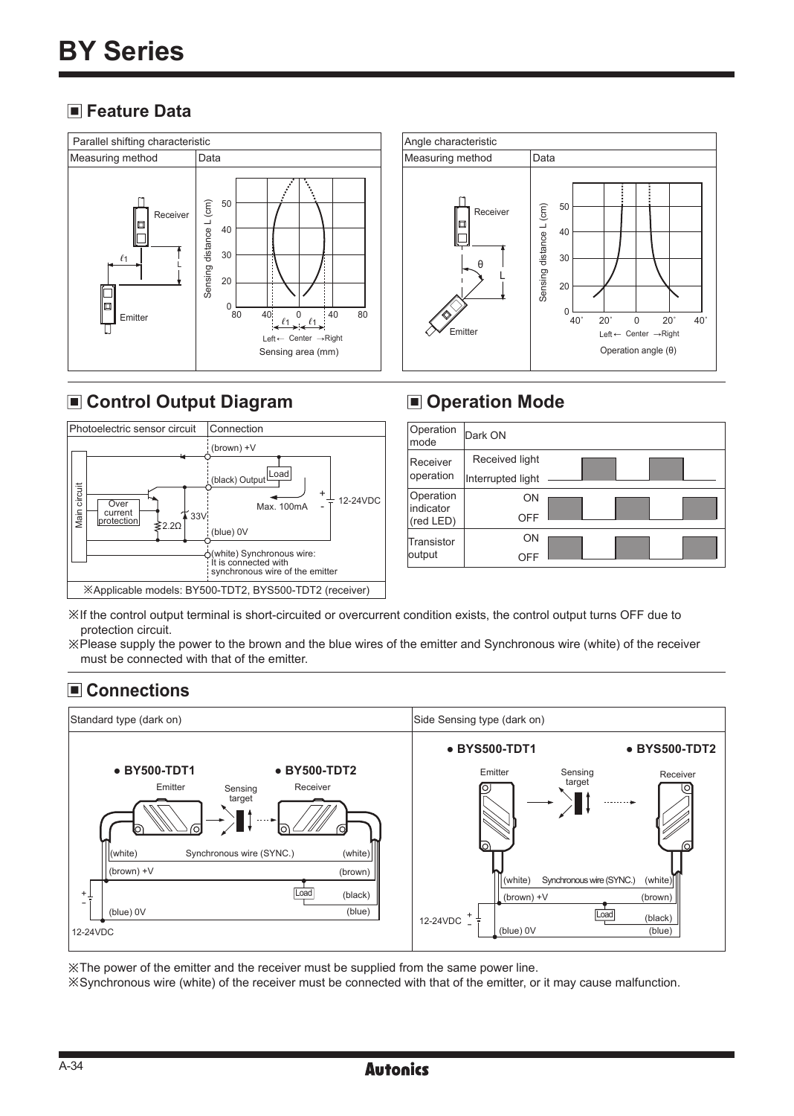### **Feature Data**



### **Control Output Diagram**



#### Angle characteristic Measuring method | Data 50 Sensing distance L (cm) Sensing distance L (cm) Receiver  $\Box$ 40 30 θ L 20  $^{0}$  40 40˚ 20˚ 0 20˚ 40˚ Emitter Left  $\leftarrow$  Center  $\rightarrow$  Right Operation angle (θ)

### $\blacksquare$  **Operation Mode**



※If the control output terminal is short-circuited or overcurrent condition exists, the control output turns OFF due to protection circuit.

※Please supply the power to the brown and the blue wires of the emitter and Synchronous wire (white) of the receiver must be connected with that of the emitter.

### **Connections**



※The power of the emitter and the receiver must be supplied from the same power line.

※Synchronous wire (white) of the receiver must be connected with that of the emitter, or it may cause malfunction.